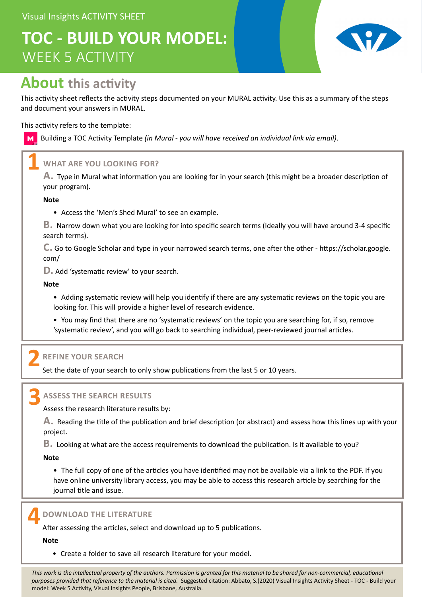# **TOC - BUILD YOUR MODEL:** WEEK 5 ACTIVITY



## **About this activity**

This activity sheet reflects the activity steps documented on your MURAL activity. Use this as a summary of the steps and document your answers in MURAL.

This activity refers to the template:

Building a TOC Activity Template *(in Mural - you will have received an individual link via email)*.  $M<sub>1</sub>$ 

### **WHAT ARE YOU LOOKING FOR? 1**

**A.** Type in Mural what information you are looking for in your search (this might be a broader description of your program).

**Note**

• Access the 'Men's Shed Mural' to see an example.

**B.** Narrow down what you are looking for into specific search terms (Ideally you will have around 3-4 specific search terms).

**C.** Go to Google Scholar and type in your narrowed search terms, one after the other - https://scholar.google. com/

**D.** Add 'systematic review' to your search.

**Note**

• Adding systematic review will help you identify if there are any systematic reviews on the topic you are looking for. This will provide a higher level of research evidence.

• You may find that there are no 'systematic reviews' on the topic you are searching for, if so, remove 'systematic review', and you will go back to searching individual, peer-reviewed journal articles.

### **REFINE YOUR SEARCH 2**

Set the date of your search to only show publications from the last 5 or 10 years.

**3**

#### **ASSESS THE SEARCH RESULTS**

Assess the research literature results by:

**A.** Reading the title of the publication and brief description (or abstract) and assess how this lines up with your project.

**B.** Looking at what are the access requirements to download the publication. Is it available to you?

**Note**

• The full copy of one of the articles you have identified may not be available via a link to the PDF. If you have online university library access, you may be able to access this research article by searching for the journal title and issue.



**DOWNLOAD THE LITERATURE**

After assessing the articles, select and download up to 5 publications.

**Note**

• Create a folder to save all research literature for your model.

*This work is the intellectual property of the authors. Permission is granted for this material to be shared for non-commercial, educational purposes provided that reference to the material is cited.* Suggested citation: Abbato, S.(2020) Visual Insights Activity Sheet - TOC - Build your model: Week 5 Activity, Visual Insights People, Brisbane, Australia.